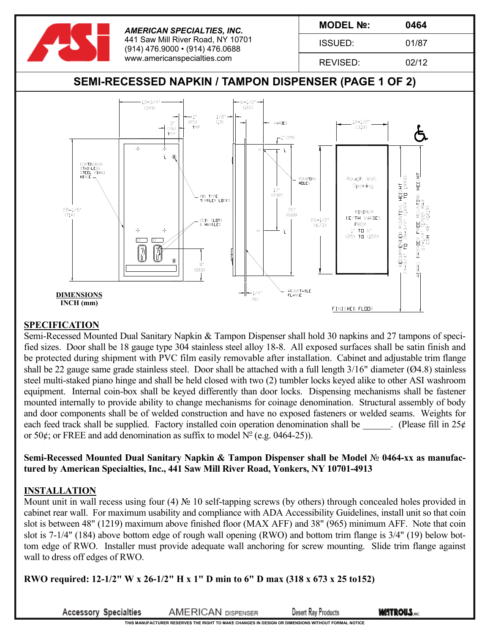

## **SPECIFICATION**

Semi-Recessed Mounted Dual Sanitary Napkin & Tampon Dispenser shall hold 30 napkins and 27 tampons of specified sizes. Door shall be 18 gauge type 304 stainless steel alloy 18-8. All exposed surfaces shall be satin finish and be protected during shipment with PVC film easily removable after installation. Cabinet and adjustable trim flange shall be 22 gauge same grade stainless steel. Door shall be attached with a full length 3/16" diameter (Ø4.8) stainless steel multi-staked piano hinge and shall be held closed with two (2) tumbler locks keyed alike to other ASI washroom equipment. Internal coin-box shall be keyed differently than door locks. Dispensing mechanisms shall be fastener mounted internally to provide ability to change mechanisms for coinage denomination. Structural assembly of body and door components shall be of welded construction and have no exposed fasteners or welded seams. Weights for each feed track shall be supplied. Factory installed coin operation denomination shall be  $\Box$ . (Please fill in 25¢ or 50 $\phi$ ; or FREE and add denomination as suffix to model  $N^{\circ}$  (e.g. 0464-25)).

**Semi-Recessed Mounted Dual Sanitary Napkin & Tampon Dispenser shall be Model** № **0464-xx as manufactured by American Specialties, Inc., 441 Saw Mill River Road, Yonkers, NY 10701-4913**

## **INSTALLATION**

Mount unit in wall recess using four (4) № 10 self-tapping screws (by others) through concealed holes provided in cabinet rear wall. For maximum usability and compliance with ADA Accessibility Guidelines, install unit so that coin slot is between 48" (1219) maximum above finished floor (MAX AFF) and 38" (965) minimum AFF. Note that coin slot is 7-1/4" (184) above bottom edge of rough wall opening (RWO) and bottom trim flange is 3/4" (19) below bottom edge of RWO. Installer must provide adequate wall anchoring for screw mounting. Slide trim flange against wall to dress off edges of RWO.

**RWO required: 12-1/2" W x 26-1/2" H x 1" D min to 6" D max (318 x 673 x 25 to152)**

**Accessory Specialties** 

**AMERICAN DISPENSER** 

**Desert Ray Products** 

**THIS MANUFACTURER RESERVES THE RIGHT TO MAKE CHANGES IN DESIGN OR DIMENSIONS WITHOUT FORMAL NOTICE**